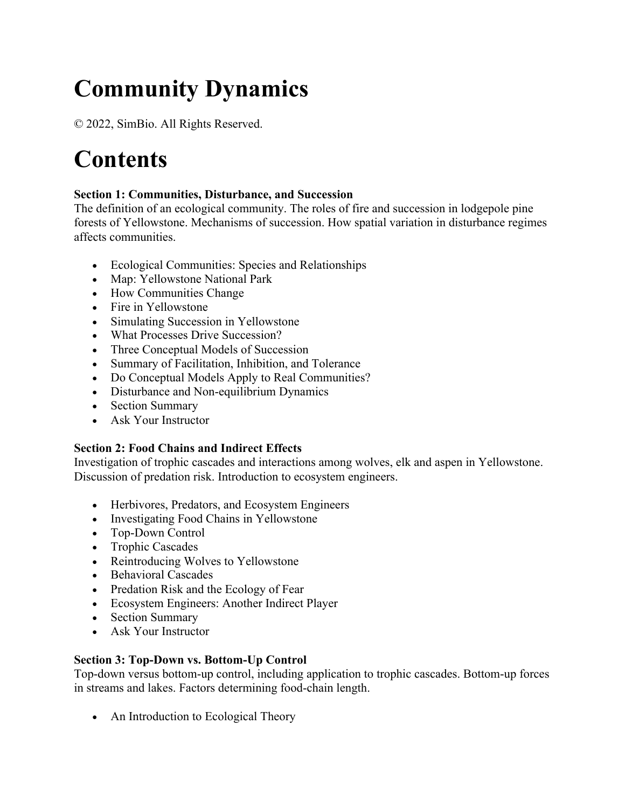# **Community Dynamics**

© 2022, SimBio. All Rights Reserved.

# **Contents**

### **Section 1: Communities, Disturbance, and Succession**

The definition of an ecological community. The roles of fire and succession in lodgepole pine forests of Yellowstone. Mechanisms of succession. How spatial variation in disturbance regimes affects communities.

- Ecological Communities: Species and Relationships
- Map: Yellowstone National Park
- How Communities Change
- Fire in Yellowstone
- Simulating Succession in Yellowstone
- What Processes Drive Succession?
- Three Conceptual Models of Succession
- Summary of Facilitation, Inhibition, and Tolerance
- Do Conceptual Models Apply to Real Communities?
- Disturbance and Non-equilibrium Dynamics
- Section Summary
- Ask Your Instructor

## **Section 2: Food Chains and Indirect Effects**

Investigation of trophic cascades and interactions among wolves, elk and aspen in Yellowstone. Discussion of predation risk. Introduction to ecosystem engineers.

- Herbivores, Predators, and Ecosystem Engineers
- Investigating Food Chains in Yellowstone
- Top-Down Control
- Trophic Cascades
- Reintroducing Wolves to Yellowstone
- Behavioral Cascades
- Predation Risk and the Ecology of Fear
- Ecosystem Engineers: Another Indirect Player
- Section Summary
- Ask Your Instructor

#### **Section 3: Top-Down vs. Bottom-Up Control**

Top-down versus bottom-up control, including application to trophic cascades. Bottom-up forces in streams and lakes. Factors determining food-chain length.

• An Introduction to Ecological Theory